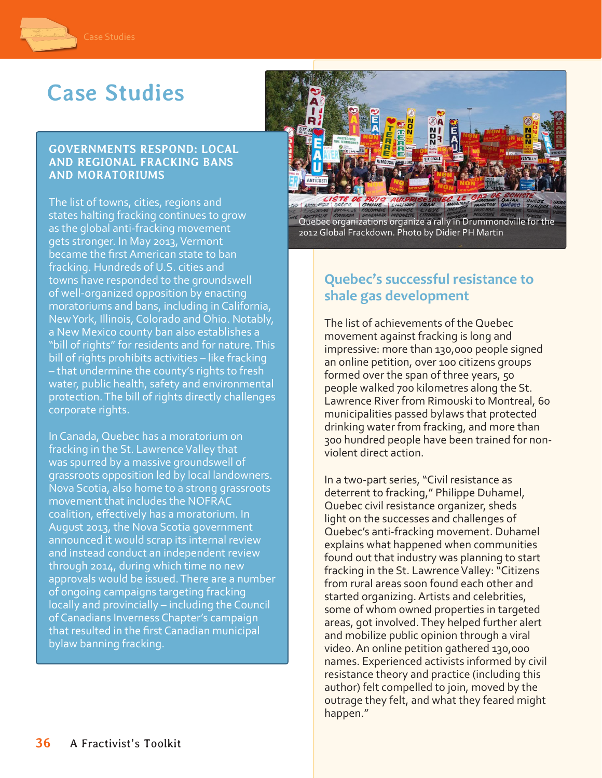

# **Case Studies**

#### **GOVERNMENTS RESPOND: LOCAL AND REGIONAL FRACKING BANS AND MORATORIUMS**

The list of towns, cities, regions and states halting fracking continues to grow as the global anti-fracking movement gets stronger. In May 2013, Vermont became the first American state to ban fracking. Hundreds of U.S. cities and towns have responded to the groundswell of well-organized opposition by enacting moratoriums and bans, including in California, New York, Illinois, Colorado and Ohio. Notably, a New Mexico county ban also establishes a "bill of rights" for residents and for nature. This bill of rights prohibits activities – like fracking – that undermine the county's rights to fresh water, public health, safety and environmental protection. The bill of rights directly challenges corporate rights.

In Canada, Quebec has a moratorium on fracking in the St. Lawrence Valley that was spurred by a massive groundswell of grassroots opposition led by local landowners. Nova Scotia, also home to a strong grassroots movement that includes the NOFRAC coalition, effectively has a moratorium. In August 2013, the Nova Scotia government announced it would scrap its internal review and instead conduct an independent review through 2014, during which time no new approvals would be issued. There are a number of ongoing campaigns targeting fracking locally and provincially – including the Council of Canadians Inverness Chapter's campaign that resulted in the first Canadian municipal bylaw banning fracking.



Quebec organizations organize a rally in Drummondville for the 2012 Global Frackdown. Photo by Didier PH Martin

# **Quebec's successful resistance to shale gas development**

The list of achievements of the Quebec movement against fracking is long and impressive: more than 130,000 people signed an online petition, over 100 citizens groups formed over the span of three years, 50 people walked 700 kilometres along the St. Lawrence River from Rimouski to Montreal, 60 municipalities passed bylaws that protected drinking water from fracking, and more than 300 hundred people have been trained for nonviolent direct action.

In a two-part series, "Civil resistance as deterrent to fracking," Philippe Duhamel, Quebec civil resistance organizer, sheds light on the successes and challenges of Quebec's anti-fracking movement. Duhamel explains what happened when communities found out that industry was planning to start fracking in the St. Lawrence Valley: "Citizens from rural areas soon found each other and started organizing. Artists and celebrities, some of whom owned properties in targeted areas, got involved. They helped further alert and mobilize public opinion through a viral video. An online petition gathered 130,000 names. Experienced activists informed by civil resistance theory and practice (including this author) felt compelled to join, moved by the outrage they felt, and what they feared might happen."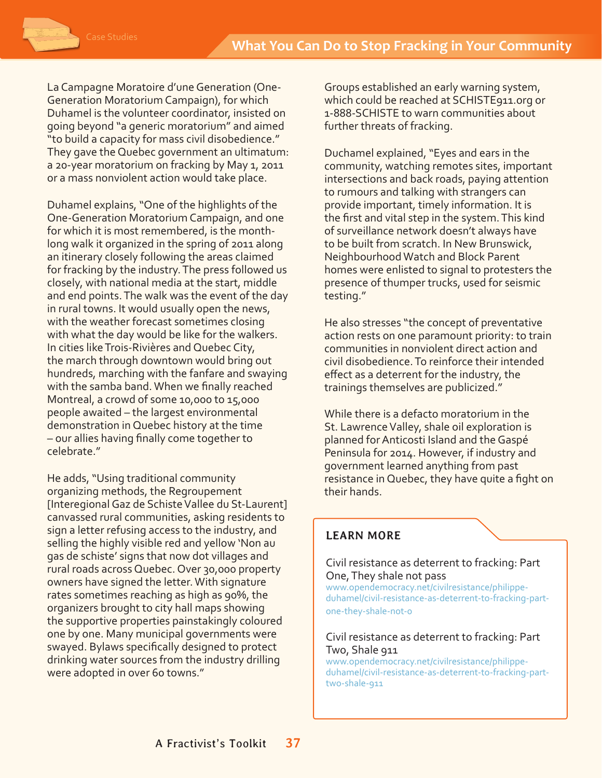La Campagne Moratoire d'une Generation (One-Generation Moratorium Campaign), for which Duhamel is the volunteer coordinator, insisted on going beyond "a generic moratorium" and aimed "to build a capacity for mass civil disobedience." They gave the Quebec government an ultimatum: a 20-year moratorium on fracking by May 1, 2011 or a mass nonviolent action would take place.

Duhamel explains, "One of the highlights of the One-Generation Moratorium Campaign, and one for which it is most remembered, is the monthlong walk it organized in the spring of 2011 along an itinerary closely following the areas claimed for fracking by the industry. The press followed us closely, with national media at the start, middle and end points. The walk was the event of the day in rural towns. It would usually open the news, with the weather forecast sometimes closing with what the day would be like for the walkers. In cities like Trois-Rivières and Quebec City, the march through downtown would bring out hundreds, marching with the fanfare and swaying with the samba band. When we finally reached Montreal, a crowd of some 10,000 to 15,000 people awaited – the largest environmental demonstration in Quebec history at the time – our allies having finally come together to celebrate."

He adds, "Using traditional community organizing methods, the Regroupement [Interegional Gaz de Schiste Vallee du St-Laurent] canvassed rural communities, asking residents to sign a letter refusing access to the industry, and selling the highly visible red and yellow 'Non au gas de schiste' signs that now dot villages and rural roads across Quebec. Over 30,000 property owners have signed the letter. With signature rates sometimes reaching as high as 90%, the organizers brought to city hall maps showing the supportive properties painstakingly coloured one by one. Many municipal governments were swayed. Bylaws specifically designed to protect drinking water sources from the industry drilling were adopted in over 60 towns."

Groups established an early warning system, which could be reached at SCHISTE911.org or 1-888-SCHISTE to warn communities about further threats of fracking.

Duchamel explained, "Eyes and ears in the community, watching remotes sites, important intersections and back roads, paying attention to rumours and talking with strangers can provide important, timely information. It is the first and vital step in the system. This kind of surveillance network doesn't always have to be built from scratch. In New Brunswick, Neighbourhood Watch and Block Parent homes were enlisted to signal to protesters the presence of thumper trucks, used for seismic testing."

He also stresses "the concept of preventative action rests on one paramount priority: to train communities in nonviolent direct action and civil disobedience. To reinforce their intended effect as a deterrent for the industry, the trainings themselves are publicized."

While there is a defacto moratorium in the St. Lawrence Valley, shale oil exploration is planned for Anticosti Island and the Gaspé Peninsula for 2014. However, if industry and government learned anything from past resistance in Quebec, they have quite a fight on their hands.

## **LEARN MORE**

#### Civil resistance as deterrent to fracking: Part One, They shale not pass [www.opendemocracy.net/civilresistance/philippe-](http://www.opendemocracy.net/civilresistance/philippe-duhamel/civil-resistance-as-deterrent-to-fracking-part-one-they-shale-not-0)

[duhamel/civil-resistance-as-deterrent-to-fracking-part](http://www.opendemocracy.net/civilresistance/philippe-duhamel/civil-resistance-as-deterrent-to-fracking-part-one-they-shale-not-0)[one-they-shale-not-0](http://www.opendemocracy.net/civilresistance/philippe-duhamel/civil-resistance-as-deterrent-to-fracking-part-one-they-shale-not-0)

#### Civil resistance as deterrent to fracking: Part Two, Shale 911

[www.opendemocracy.net/civilresistance/philippe](http://www.opendemocracy.net/civilresistance/philippe-duhamel/civil-resistance-as-deterrent-to-fracking-part-two-shale-911)[duhamel/civil-resistance-as-deterrent-to-fracking-part](http://www.opendemocracy.net/civilresistance/philippe-duhamel/civil-resistance-as-deterrent-to-fracking-part-two-shale-911)[two-shale-911](http://www.opendemocracy.net/civilresistance/philippe-duhamel/civil-resistance-as-deterrent-to-fracking-part-two-shale-911)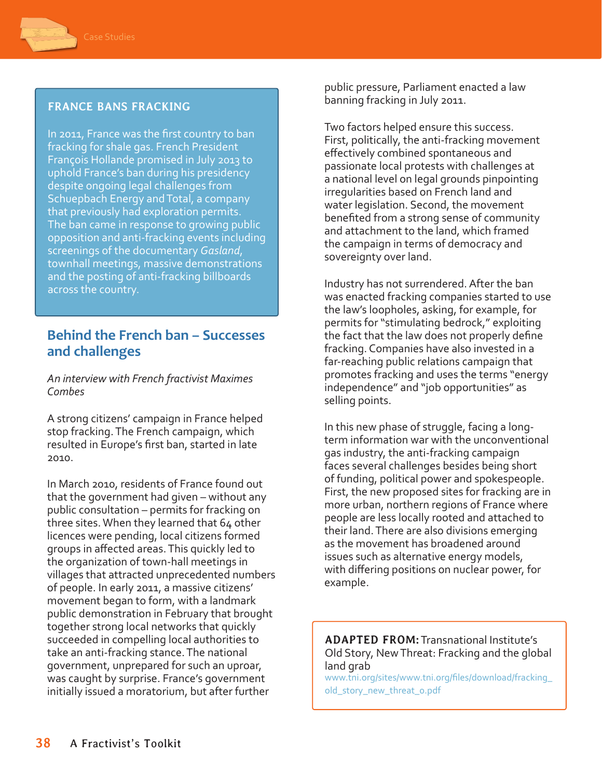

#### **FRANCE BANS FRACKING**

In 2011, France was the first country to ban fracking for shale gas. French President François Hollande promised in July 2013 to uphold France's ban during his presidency despite ongoing legal challenges from Schuepbach Energy and Total, a company that previously had exploration permits. The ban came in response to growing public opposition and anti-fracking events including screenings of the documentary *Gasland*, townhall meetings, massive demonstrations and the posting of anti-fracking billboards across the country.

## **Behind the French ban – Successes and challenges**

*An interview with French fractivist Maximes Combes*

A strong citizens' campaign in France helped stop fracking. The French campaign, which resulted in Europe's first ban, started in late 2010.

In March 2010, residents of France found out that the government had given – without any public consultation – permits for fracking on three sites. When they learned that 64 other licences were pending, local citizens formed groups in affected areas. This quickly led to the organization of town-hall meetings in villages that attracted unprecedented numbers of people. In early 2011, a massive citizens' movement began to form, with a landmark public demonstration in February that brought together strong local networks that quickly succeeded in compelling local authorities to take an anti-fracking stance. The national government, unprepared for such an uproar, was caught by surprise. France's government initially issued a moratorium, but after further

public pressure, Parliament enacted a law banning fracking in July 2011.

Two factors helped ensure this success. First, politically, the anti-fracking movement effectively combined spontaneous and passionate local protests with challenges at a national level on legal grounds pinpointing irregularities based on French land and water legislation. Second, the movement benefited from a strong sense of community and attachment to the land, which framed the campaign in terms of democracy and sovereignty over land.

Industry has not surrendered. After the ban was enacted fracking companies started to use the law's loopholes, asking, for example, for permits for "stimulating bedrock," exploiting the fact that the law does not properly define fracking. Companies have also invested in a far-reaching public relations campaign that promotes fracking and uses the terms "energy independence" and "job opportunities" as selling points.

In this new phase of struggle, facing a longterm information war with the unconventional gas industry, the anti-fracking campaign faces several challenges besides being short of funding, political power and spokespeople. First, the new proposed sites for fracking are in more urban, northern regions of France where people are less locally rooted and attached to their land. There are also divisions emerging as the movement has broadened around issues such as alternative energy models, with differing positions on nuclear power, for example.

**ADAPTED FROM:** Transnational Institute's Old Story, New Threat: Fracking and the global land grab

[www.tni.org/sites/www.tni.org/files/download/fracking\\_](http://www.tni.org/sites/www.tni.org/files/download/fracking_old_story_new_threat_0.pdf) [old\\_story\\_new\\_threat\\_0.pdf](http://www.tni.org/sites/www.tni.org/files/download/fracking_old_story_new_threat_0.pdf)